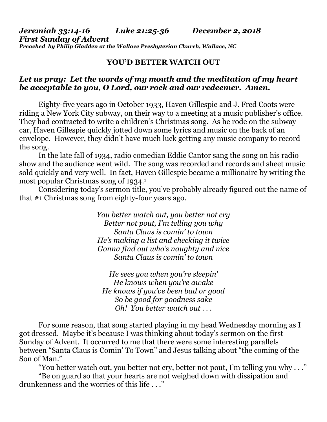*Jeremiah 33:14-16 Luke 21:25-36 December 2, 2018 First Sunday of Advent Preached by Philip Gladden at the Wallace Presbyterian Church, Wallace, NC*

## **YOU'D BETTER WATCH OUT**

## *Let us pray: Let the words of my mouth and the meditation of my heart be acceptable to you, O Lord, our rock and our redeemer. Amen.*

Eighty-five years ago in October 1933, Haven Gillespie and J. Fred Coots were riding a New York City subway, on their way to a meeting at a music publisher's office. They had contracted to write a children's Christmas song. As he rode on the subway car, Haven Gillespie quickly jotted down some lyrics and music on the back of an envelope. However, they didn't have much luck getting any music company to record the song.

In the late fall of 1934, radio comedian Eddie Cantor sang the song on his radio show and the audience went wild. The song was recorded and records and sheet music sold quickly and very well. In fact, Haven Gillespie became a millionaire by writing the most popular Christmas song of 1934.<sup>1</sup>

Considering today's sermon title, you've probably already figured out the name of that #1 Christmas song from eighty-four years ago.

> *You better watch out, you better not cry Better not pout, I'm telling you why Santa Claus is comin' to town He's making a list and checking it twice Gonna find out who's naughty and nice Santa Claus is comin' to town*

*He sees you when you're sleepin' He knows when you're awake He knows if you've been bad or good So be good for goodness sake Oh! You better watch out . . .*

For some reason, that song started playing in my head Wednesday morning as I got dressed. Maybe it's because I was thinking about today's sermon on the first Sunday of Advent. It occurred to me that there were some interesting parallels between "Santa Claus is Comin' To Town" and Jesus talking about "the coming of the Son of Man."

"You better watch out, you better not cry, better not pout, I'm telling you why . . ." "Be on guard so that your hearts are not weighed down with dissipation and drunkenness and the worries of this life . . ."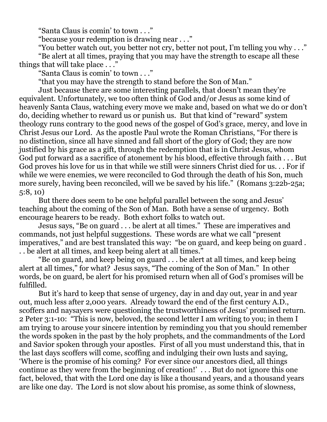"Santa Claus is comin' to town . . ."

"because your redemption is drawing near . . ."

"You better watch out, you better not cry, better not pout, I'm telling you why . . ." "Be alert at all times, praying that you may have the strength to escape all these things that will take place . . ."

"Santa Claus is comin' to town . . ."

"that you may have the strength to stand before the Son of Man."

Just because there are some interesting parallels, that doesn't mean they're equivalent. Unfortunately, we too often think of God and/or Jesus as some kind of heavenly Santa Claus, watching every move we make and, based on what we do or don't do, deciding whether to reward us or punish us. But that kind of "reward" system theology runs contrary to the good news of the gospel of God's grace, mercy, and love in Christ Jesus our Lord. As the apostle Paul wrote the Roman Christians, "For there is no distinction, since all have sinned and fall short of the glory of God; they are now justified by his grace as a gift, through the redemption that is in Christ Jesus, whom God put forward as a sacrifice of atonement by his blood, effective through faith . . . But God proves his love for us in that while we still were sinners Christ died for us. . . For if while we were enemies, we were reconciled to God through the death of his Son, much more surely, having been reconciled, will we be saved by his life." (Romans 3:22b-25a; 5:8, 10)

But there does seem to be one helpful parallel between the song and Jesus' teaching about the coming of the Son of Man. Both have a sense of urgency. Both encourage hearers to be ready. Both exhort folks to watch out.

Jesus says, "Be on guard . . . be alert at all times." These are imperatives and commands, not just helpful suggestions. These words are what we call "present imperatives," and are best translated this way: "be on guard, and keep being on guard . . . be alert at all times, and keep being alert at all times."

"Be on guard, and keep being on guard . . . be alert at all times, and keep being alert at all times," for what? Jesus says, "The coming of the Son of Man." In other words, be on guard, be alert for his promised return when all of God's promises will be fulfilled.

But it's hard to keep that sense of urgency, day in and day out, year in and year out, much less after 2,000 years. Already toward the end of the first century A.D., scoffers and naysayers were questioning the trustworthiness of Jesus' promised return. 2 Peter 3:1-10: "This is now, beloved, the second letter I am writing to you; in them I am trying to arouse your sincere intention by reminding you that you should remember the words spoken in the past by the holy prophets, and the commandments of the Lord and Savior spoken through your apostles. First of all you must understand this, that in the last days scoffers will come, scoffing and indulging their own lusts and saying, 'Where is the promise of his coming? For ever since our ancestors died, all things continue as they were from the beginning of creation!' . . . But do not ignore this one fact, beloved, that with the Lord one day is like a thousand years, and a thousand years are like one day. The Lord is not slow about his promise, as some think of slowness,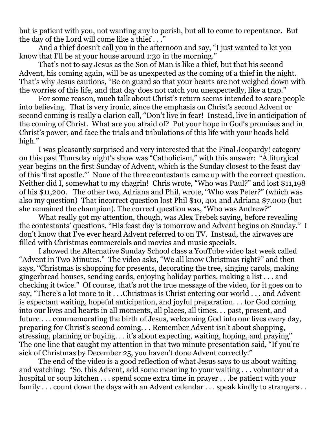but is patient with you, not wanting any to perish, but all to come to repentance. But the day of the Lord will come like a thief . . ."

And a thief doesn't call you in the afternoon and say, "I just wanted to let you know that I'll be at your house around 1:30 in the morning."

That's not to say Jesus as the Son of Man is like a thief, but that his second Advent, his coming again, will be as unexpected as the coming of a thief in the night. That's why Jesus cautions, "Be on guard so that your hearts are not weighed down with the worries of this life, and that day does not catch you unexpectedly, like a trap."

For some reason, much talk about Christ's return seems intended to scare people into believing. That is very ironic, since the emphasis on Christ's second Advent or second coming is really a clarion call, "Don't live in fear! Instead, live in anticipation of the coming of Christ. What are you afraid of? Put your hope in God's promises and in Christ's power, and face the trials and tribulations of this life with your heads held high."

I was pleasantly surprised and very interested that the Final Jeopardy! category on this past Thursday night's show was "Catholicism," with this answer: "A liturgical year begins on the first Sunday of Advent, which is the Sunday closest to the feast day of this 'first apostle.'" None of the three contestants came up with the correct question. Neither did I, somewhat to my chagrin! Chris wrote, "Who was Paul?" and lost \$11,198 of his \$11,200. The other two, Adriana and Phil, wrote, "Who was Peter?" (which was also my question) That incorrect question lost Phil \$10, 401 and Adriana \$7,000 (but she remained the champion). The correct question was, "Who was Andrew?"

What really got my attention, though, was Alex Trebek saying, before revealing the contestants' questions, "His feast day is tomorrow and Advent begins on Sunday." I don't know that I've ever heard Advent referred to on TV. Instead, the airwaves are filled with Christmas commercials and movies and music specials.

I showed the Alternative Sunday School class a YouTube video last week called "Advent in Two Minutes." The video asks, "We all know Christmas right?" and then says, "Christmas is shopping for presents, decorating the tree, singing carols, making gingerbread houses, sending cards, enjoying holiday parties, making a list . . . and checking it twice." Of course, that's not the true message of the video, for it goes on to say, "There's a lot more to it . . .Christmas is Christ entering our world . . . and Advent is expectant waiting, hopeful anticipation, and joyful preparation. . . for God coming into our lives and hearts in all moments, all places, all times. . . past, present, and future . . . commemorating the birth of Jesus, welcoming God into our lives every day, preparing for Christ's second coming. . . Remember Advent isn't about shopping, stressing, planning or buying. . . it's about expecting, waiting, hoping, and praying" The one line that caught my attention in that two minute presentation said, "If you're sick of Christmas by December 25, you haven't done Advent correctly."

The end of the video is a good reflection of what Jesus says to us about waiting and watching: "So, this Advent, add some meaning to your waiting . . . volunteer at a hospital or soup kitchen . . . spend some extra time in prayer . . .be patient with your family ... count down the days with an Advent calendar ... speak kindly to strangers ..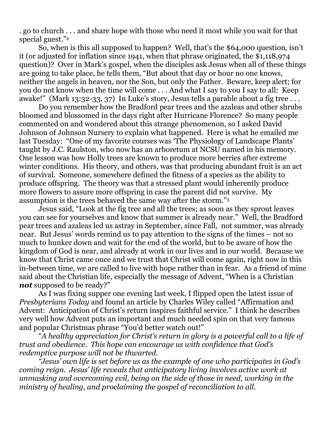. go to church . . . and share hope with those who need it most while you wait for that special guest."<sup>2</sup>

So, when is this all supposed to happen? Well, that's the \$64,000 question, isn't it (or adjusted for inflation since 1941, when that phrase originated, the \$1,118,974 question)? Over in Mark's gospel, when the disciples ask Jesus when all of these things are going to take place, he tells them, "But about that day or hour no one knows, neither the angels in heaven, nor the Son, but only the Father. Beware, keep alert; for you do not know when the time will come . . . And what I say to you I say to all: Keep awake!" (Mark 13:32-33, 37) In Luke's story, Jesus tells a parable about a fig tree . . .

Do you remember how the Bradford pear trees and the azaleas and other shrubs bloomed and blossomed in the days right after Hurricane Florence? So many people commented on and wondered about this strange phenomenon, so I asked David Johnson of Johnson Nursery to explain what happened. Here is what he emailed me last Tuesday: "One of my favorite courses was 'The Physiology of Landscape Plants' taught by J.C. Raulston, who now has an arboretum at NCSU named in his memory. One lesson was how Holly trees are known to produce more berries after extreme winter conditions. His theory, and others, was that producing abundant fruit is an act of survival. Someone, somewhere defined the fitness of a species as the ability to produce offspring. The theory was that a stressed plant would inherently produce more flowers to assure more offspring in case the parent did not survive. My assumption is the trees behaved the same way after the storm."<sup>3</sup>

Jesus said, "Look at the fig tree and all the trees; as soon as they sprout leaves you can see for yourselves and know that summer is already near." Well, the Bradford pear trees and azaleas led us astray in September, since Fall, not summer, was already near. But Jesus' words remind us to pay attention to the signs of the times – not so much to hunker down and wait for the end of the world, but to be aware of how the kingdom of God is near, and already at work in our lives and in our world. Because we know that Christ came once and we trust that Christ will come again, right now in this in-between time, we are called to live with hope rather than in fear. As a friend of mine said about the Christian life, especially the message of Advent, "When is a Christian *not* supposed to be ready?"

As I was fixing supper one evening last week, I flipped open the latest issue of *Presbyterians Today* and found an article by Charles Wiley called "Affirmation and Advent: Anticipation of Christ's return inspires faithful service." I think he describes very well how Advent puts an important and much needed spin on that very famous and popular Christmas phrase "You'd better watch out!"

"*A healthy appreciation for Christ's return in glory is a powerful call to a life of trust and obedience. This hope can encourage us with confidence that God's redemptive purpose will not be thwarted.*

*"Jesus' own life is set before us as the example of one who participates in God's coming reign. Jesus' life reveals that anticipatory living involves active work at unmasking and overcoming evil, being on the side of those in need, working in the ministry of healing, and proclaiming the gospel of reconciliation to all.*